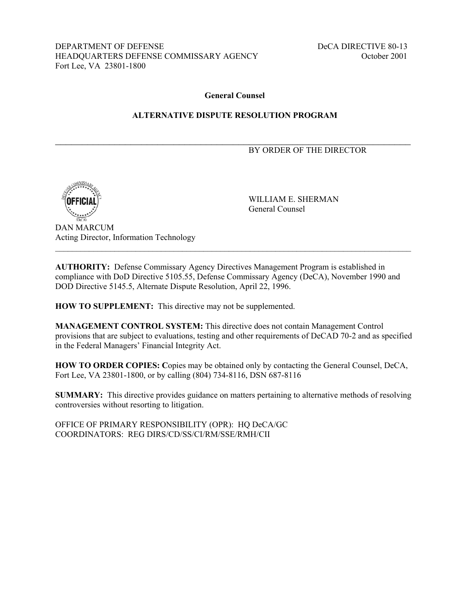DEPARTMENT OF DEFENSE DECA DIRECTIVE 80-13 HEADQUARTERS DEFENSE COMMISSARY AGENCY October 2001 Fort Lee, VA 23801-1800

#### **General Counsel**

#### **ALTERNATIVE DISPUTE RESOLUTION PROGRAM**

 $\mathcal{L}_\text{max} = \frac{1}{2} \sum_{i=1}^{n} \frac{1}{2} \sum_{i=1}^{n} \frac{1}{2} \sum_{i=1}^{n} \frac{1}{2} \sum_{i=1}^{n} \frac{1}{2} \sum_{i=1}^{n} \frac{1}{2} \sum_{i=1}^{n} \frac{1}{2} \sum_{i=1}^{n} \frac{1}{2} \sum_{i=1}^{n} \frac{1}{2} \sum_{i=1}^{n} \frac{1}{2} \sum_{i=1}^{n} \frac{1}{2} \sum_{i=1}^{n} \frac{1}{2} \sum_{i=1}^{n} \frac{1$ 

#### BY ORDER OF THE DIRECTOR



 WILLIAM E. SHERMAN General Counsel

DAN MARCUM Acting Director, Information Technology

**AUTHORITY:** Defense Commissary Agency Directives Management Program is established in compliance with DoD Directive 5105.55, Defense Commissary Agency (DeCA), November 1990 and DOD Directive 5145.5, Alternate Dispute Resolution, April 22, 1996.

 $\mathcal{L}_\mathcal{L} = \{ \mathcal{L}_\mathcal{L} = \{ \mathcal{L}_\mathcal{L} = \{ \mathcal{L}_\mathcal{L} = \{ \mathcal{L}_\mathcal{L} = \{ \mathcal{L}_\mathcal{L} = \{ \mathcal{L}_\mathcal{L} = \{ \mathcal{L}_\mathcal{L} = \{ \mathcal{L}_\mathcal{L} = \{ \mathcal{L}_\mathcal{L} = \{ \mathcal{L}_\mathcal{L} = \{ \mathcal{L}_\mathcal{L} = \{ \mathcal{L}_\mathcal{L} = \{ \mathcal{L}_\mathcal{L} = \{ \mathcal{L}_\mathcal{$ 

**HOW TO SUPPLEMENT:** This directive may not be supplemented.

**MANAGEMENT CONTROL SYSTEM:** This directive does not contain Management Control provisions that are subject to evaluations, testing and other requirements of DeCAD 70-2 and as specified in the Federal Managers' Financial Integrity Act.

**HOW TO ORDER COPIES: C**opies may be obtained only by contacting the General Counsel, DeCA, Fort Lee, VA 23801-1800, or by calling (804) 734-8116, DSN 687-8116

**SUMMARY:** This directive provides guidance on matters pertaining to alternative methods of resolving controversies without resorting to litigation.

OFFICE OF PRIMARY RESPONSIBILITY (OPR): HQ DeCA/GC COORDINATORS: REG DIRS/CD/SS/CI/RM/SSE/RMH/CII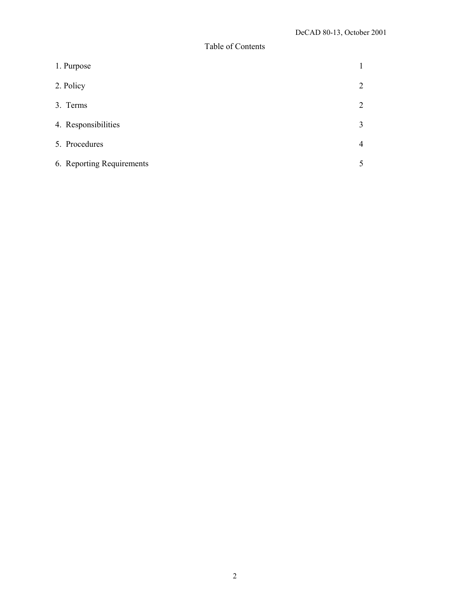# Table of Contents

| 1. Purpose                |                |
|---------------------------|----------------|
| 2. Policy                 | 2              |
| 3. Terms                  | 2              |
| 4. Responsibilities       | 3              |
| 5. Procedures             | $\overline{4}$ |
| 6. Reporting Requirements | 5              |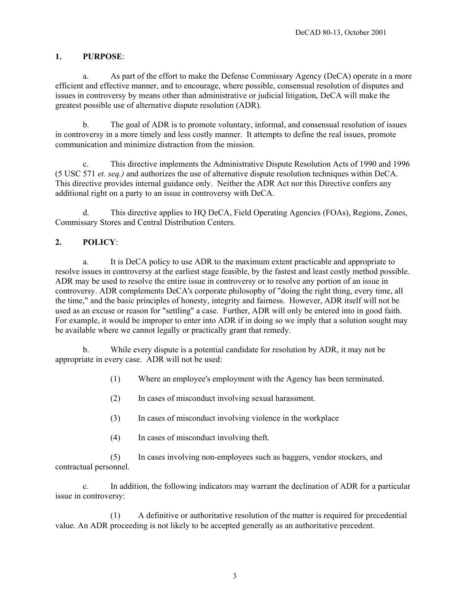#### **1. PURPOSE**:

a. As part of the effort to make the Defense Commissary Agency (DeCA) operate in a more efficient and effective manner, and to encourage, where possible, consensual resolution of disputes and issues in controversy by means other than administrative or judicial litigation, DeCA will make the greatest possible use of alternative dispute resolution (ADR).

b. The goal of ADR is to promote voluntary, informal, and consensual resolution of issues in controversy in a more timely and less costly manner. It attempts to define the real issues, promote communication and minimize distraction from the mission.

c. This directive implements the Administrative Dispute Resolution Acts of 1990 and 1996 (5 USC 571 *et. seq.)* and authorizes the use of alternative dispute resolution techniques within DeCA. This directive provides internal guidance only. Neither the ADR Act nor this Directive confers any additional right on a party to an issue in controversy with DeCA.

d. This directive applies to HQ DeCA, Field Operating Agencies (FOAs), Regions, Zones, Commissary Stores and Central Distribution Centers.

## **2. POLICY**:

a. It is DeCA policy to use ADR to the maximum extent practicable and appropriate to resolve issues in controversy at the earliest stage feasible, by the fastest and least costly method possible. ADR may be used to resolve the entire issue in controversy or to resolve any portion of an issue in controversy. ADR complements DeCA's corporate philosophy of "doing the right thing, every time, all the time," and the basic principles of honesty, integrity and fairness. However, ADR itself will not be used as an excuse or reason for "settling" a case. Further, ADR will only be entered into in good faith. For example, it would be improper to enter into ADR if in doing so we imply that a solution sought may be available where we cannot legally or practically grant that remedy.

b. While every dispute is a potential candidate for resolution by ADR, it may not be appropriate in every case. ADR will not be used:

- (1) Where an employee's employment with the Agency has been terminated.
- (2) In cases of misconduct involving sexual harassment.
- (3) In cases of misconduct involving violence in the workplace
- (4) In cases of misconduct involving theft.

 (5) In cases involving non-employees such as baggers, vendor stockers, and contractual personnel.

c. In addition, the following indicators may warrant the declination of ADR for a particular issue in controversy:

(1) A definitive or authoritative resolution of the matter is required for precedential value. An ADR proceeding is not likely to be accepted generally as an authoritative precedent.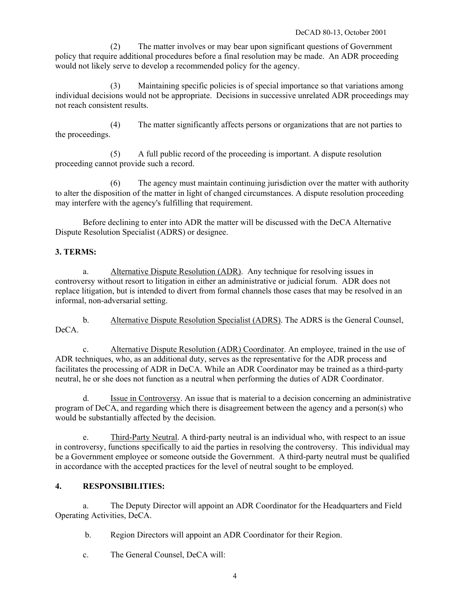(2) The matter involves or may bear upon significant questions of Government policy that require additional procedures before a final resolution may be made. An ADR proceeding would not likely serve to develop a recommended policy for the agency.

(3) Maintaining specific policies is of special importance so that variations among individual decisions would not be appropriate. Decisions in successive unrelated ADR proceedings may not reach consistent results.

(4) The matter significantly affects persons or organizations that are not parties to the proceedings.

(5) A full public record of the proceeding is important. A dispute resolution proceeding cannot provide such a record.

 (6) The agency must maintain continuing jurisdiction over the matter with authority to alter the disposition of the matter in light of changed circumstances. A dispute resolution proceeding may interfere with the agency's fulfilling that requirement.

Before declining to enter into ADR the matter will be discussed with the DeCA Alternative Dispute Resolution Specialist (ADRS) or designee.

## **3. TERMS:**

a. Alternative Dispute Resolution (ADR). Any technique for resolving issues in controversy without resort to litigation in either an administrative or judicial forum. ADR does not replace litigation, but is intended to divert from formal channels those cases that may be resolved in an informal, non-adversarial setting.

b. Alternative Dispute Resolution Specialist (ADRS). The ADRS is the General Counsel, DeCA.

c. Alternative Dispute Resolution (ADR) Coordinator. An employee, trained in the use of ADR techniques, who, as an additional duty, serves as the representative for the ADR process and facilitates the processing of ADR in DeCA. While an ADR Coordinator may be trained as a third-party neutral, he or she does not function as a neutral when performing the duties of ADR Coordinator.

d. Issue in Controversy. An issue that is material to a decision concerning an administrative program of DeCA, and regarding which there is disagreement between the agency and a person(s) who would be substantially affected by the decision.

e. Third-Party Neutral. A third-party neutral is an individual who, with respect to an issue in controversy, functions specifically to aid the parties in resolving the controversy. This individual may be a Government employee or someone outside the Government. A third-party neutral must be qualified in accordance with the accepted practices for the level of neutral sought to be employed.

# **4. RESPONSIBILITIES:**

a. The Deputy Director will appoint an ADR Coordinator for the Headquarters and Field Operating Activities, DeCA.

b. Region Directors will appoint an ADR Coordinator for their Region.

c. The General Counsel, DeCA will: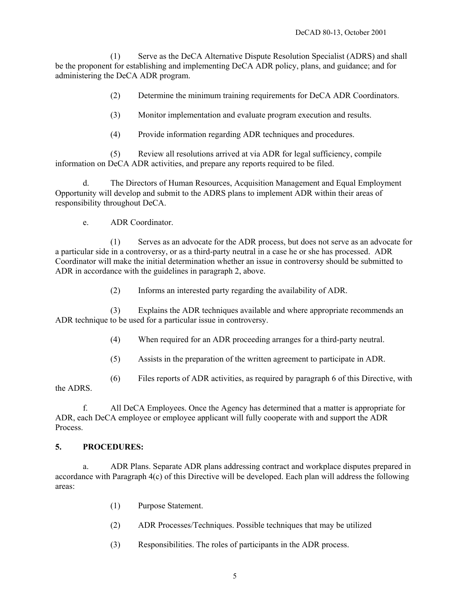(1) Serve as the DeCA Alternative Dispute Resolution Specialist (ADRS) and shall be the proponent for establishing and implementing DeCA ADR policy, plans, and guidance; and for administering the DeCA ADR program.

(2) Determine the minimum training requirements for DeCA ADR Coordinators.

(3) Monitor implementation and evaluate program execution and results.

(4) Provide information regarding ADR techniques and procedures.

(5) Review all resolutions arrived at via ADR for legal sufficiency, compile information on DeCA ADR activities, and prepare any reports required to be filed.

d. The Directors of Human Resources, Acquisition Management and Equal Employment Opportunity will develop and submit to the ADRS plans to implement ADR within their areas of responsibility throughout DeCA.

e. ADR Coordinator.

(1) Serves as an advocate for the ADR process, but does not serve as an advocate for a particular side in a controversy, or as a third-party neutral in a case he or she has processed. ADR Coordinator will make the initial determination whether an issue in controversy should be submitted to ADR in accordance with the guidelines in paragraph 2, above.

(2) Informs an interested party regarding the availability of ADR.

(3) Explains the ADR techniques available and where appropriate recommends an ADR technique to be used for a particular issue in controversy.

(4) When required for an ADR proceeding arranges for a third-party neutral.

(5) Assists in the preparation of the written agreement to participate in ADR.

(6) Files reports of ADR activities, as required by paragraph 6 of this Directive, with

the ADRS.

f. All DeCA Employees. Once the Agency has determined that a matter is appropriate for ADR, each DeCA employee or employee applicant will fully cooperate with and support the ADR Process.

## **5. PROCEDURES:**

a. ADR Plans. Separate ADR plans addressing contract and workplace disputes prepared in accordance with Paragraph 4(c) of this Directive will be developed. Each plan will address the following areas:

- (1) Purpose Statement.
- (2) ADR Processes/Techniques. Possible techniques that may be utilized
- (3) Responsibilities. The roles of participants in the ADR process.